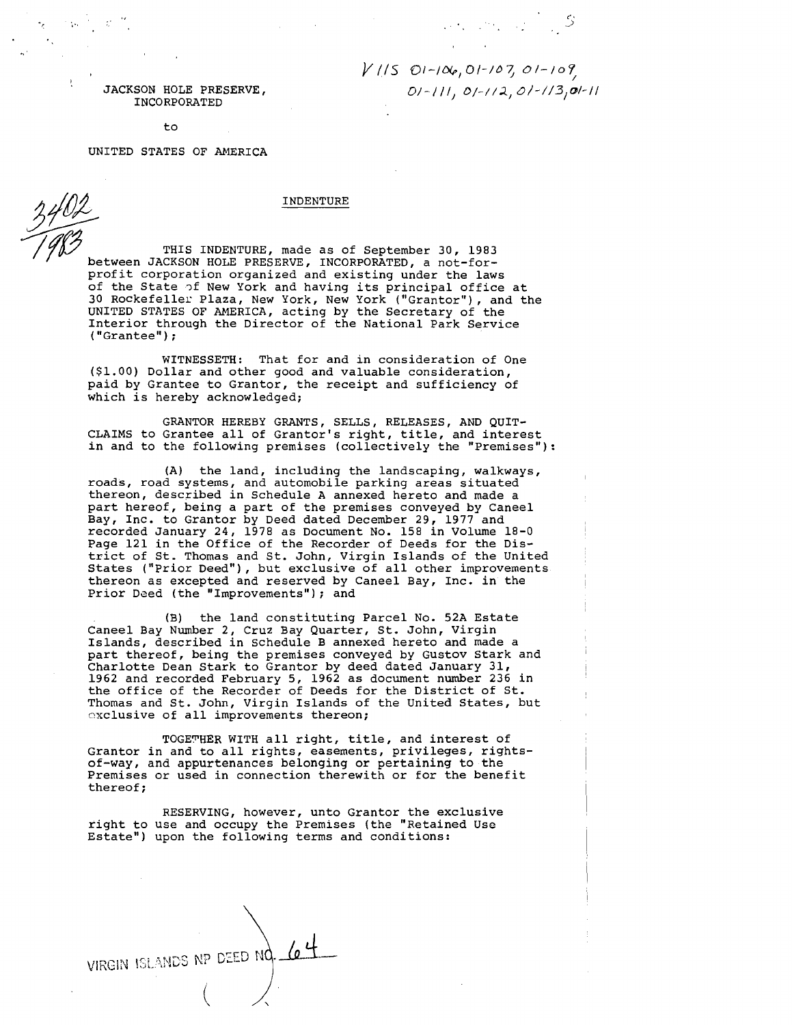$O(-111, 0/-112, 0/-113, 0/-11$ 

 $V$ 115 OI-106, 01-107, 01-109,

JACKSON HOLE PRESERVE, INCORPORATED

## to

## UNITED STATES OF AMERICA

 $\frac{3402}{198}$  Detween JACK  $27~$ 

### INDENTURE

THIS INDENTURE, made as of September 30, 1983 between JACKSON HOLE PRESERVE, INCORPORATED, a not-forprofit corporation organized and existing under the laws of the State 0f New York and having its principal office at 30 Rockefeller Plaza, New York, New York ("Grantor"), and the UNITED STATES OF AMERICA, acting by the Secretary of the Interior through the Director of the National Park Service ("Grantee"):

WITNESSETH: That for and in consideration of One (\$1.00) Dollar and other good and valuable consideration, paid by Grantee to Grantor, the receipt and sufficiency of which is hereby acknowledged;

GRANTOR HEREBY GRANTS, SELLS, RELEASES, AND QUIT-CLAIMS to Grantee all of Grantor's right, title, and interest in and to the following premises (collectively the "Premises"):

(A) the land, including the landscaping, walkways, roads, road systems, and automobile parking areas situated thereon, described *in* Schedule A annexed hereto and made a part hereof, being a part of the premises conveyed by Caneel Bay, Inc. to Grantor by Deed dated December 29, 1977 and recorded January 24, 1978 as Document No. 158 *in* Volume 18-0 Page 121 *in* the Office of the Recorder of Deeds for the District of St. Thomas and St. John, Virgin Islands of the United States ("Prior Deed"), but exclusive of all other improvements thereon as excepted and reserved by Caneel Bay, Inc. *in* the Prior Deed (the "Improvements"); and

(B) the land constituting Parcel No. 52A Estate Caneel Bay Number 2, Cruz Bay Quarter, St. John, Virgin Islands, described *in* Schedule B annexed hereto and made a part thereof, being the premises conveyed by Gustov Stark and Charlotte Dean Stark to Grantor by deed dated January 31, 1962 and recorded February 5, 1962 as document number 236 *in*  the office of the Recorder of Deeds for the District of St. Thomas and St. John, Virgin Islands of the United States, but exclusive of all improvements thereon;

TOGETHER WITH all right, title, and interest of Grantor *in* and to all rights, easements, privileges, rightsof-way, and appurtenances belonging or pertaining to the Premises or used in connection therewith or for the benefit thereof;

RESERVING, however, unto Grantor the exclusive right to use and occupy the Premises (the "Retained Use Estate") upon the following terms and conditions:

VIRGIN ISLANDS NP DEED NO.  $\left(\right)$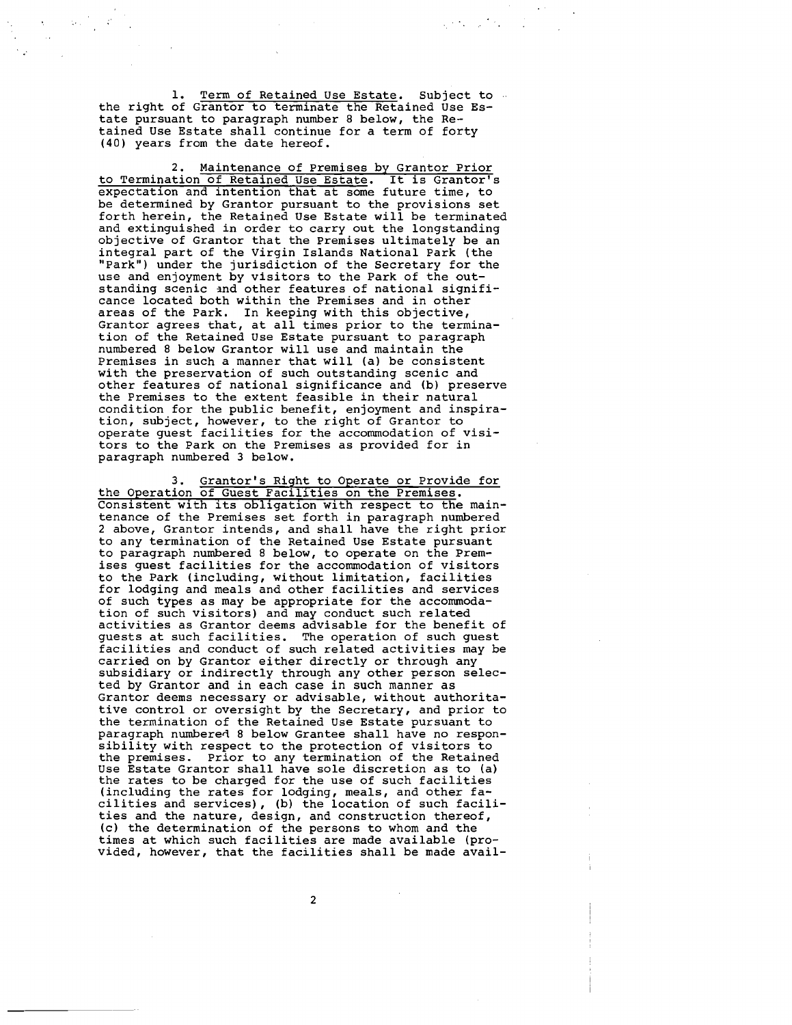Term of Retained Use Estate. Subject to ... the right of Grantor to terminate the Retained Use Estate pursuant to paragraph number 8 below, the Retained Use Estate shall continue for a term of forty (40) years from the date hereof.

 $\mathcal{L}(\mathcal{F}_\mathcal{A}) = \frac{1}{2} \sum_{i=1}^n \mathcal{L}_i$ 

2. Maintenance of Premises by Grantor *Prior*  to Termination of Retained Use Estate. It *is* Grantor's expectation and intention that at some future time, to be determined by Grantor pursuant to the provisions set forth herein, the Retained Use Estate will be terminated and extinguished in order to carry out the longstanding objective of Grantor that the Premises ultimately be an integral part of the Virgin Islands National Park (the "Park") under the jurisdiction of the Secretary for the use and enjoyment by visitors to the Park of the outstanding scenic and other features of national signifi- cance located both within the Premises and in other areas of the Park. In keeping with this objective, Grantor agrees that, at all times prior to the termination of the Retained Use Estate pursuant to paragraph numbered 8 below Grantor will use and maintain the Premises in such a manner that will (a) be consistent with the preservation of such outstanding scenic and other features of national significance and (b) preserve the Premises to the extent feasible in their natural condition for the public benefit, enjoyment and inspiration, subject, however, to the right of Grantor to operate guest facilities for the accommodation of *visi*tors to the Park on the Premises as provided for in paragraph numbered 3 below.

3. Grantor's Right to Operate or Provide for the Operation of Guest Facilities on the Premises. Consistent with its obligation with respect to the maintenance of the Premises set forth in paragraph numbered 2 above, Grantor intends, and shall have the right prior to any termination of the Retained Use Estate pursuant to paragraph numbered 8 below, to operate on the Prem*ises* guest facilities for the accommodation of visitors to the Park (including, without limitation, facilities for lodging and meals and other facilities and services of such types as may be appropriate for the accommodation of such visitors) and may conduct such related activities as Grantor deems advisable for the benefit of guests at such facilities. The operation of such guest facilities and conduct of such related activities may be carried on by Grantor either directly or through any subsidiary or indirectly through any other person selected by Grantor and in each case in such manner as Grantor deems necessary or advisable, without authoritative control or oversight by the Secretary, and prior to the termination of the Retained Use Estate pursuant to paragraph numbered 8 below Grantee shall have no responsibility with respect to the protection of visitors to the premises. Prior to any termination of the Retained Use Estate Grantor shall have sole discretion as to (a) the rates to be charged for the use of such facilities (including the rates for lodging, meals, and other facilities and services) , (b) the location of such facilities and the nature, design, and construction thereof, (c) the determination of the persons to whom and the times at which such facilities are made available (provided, however, that the facilities shall be made avail-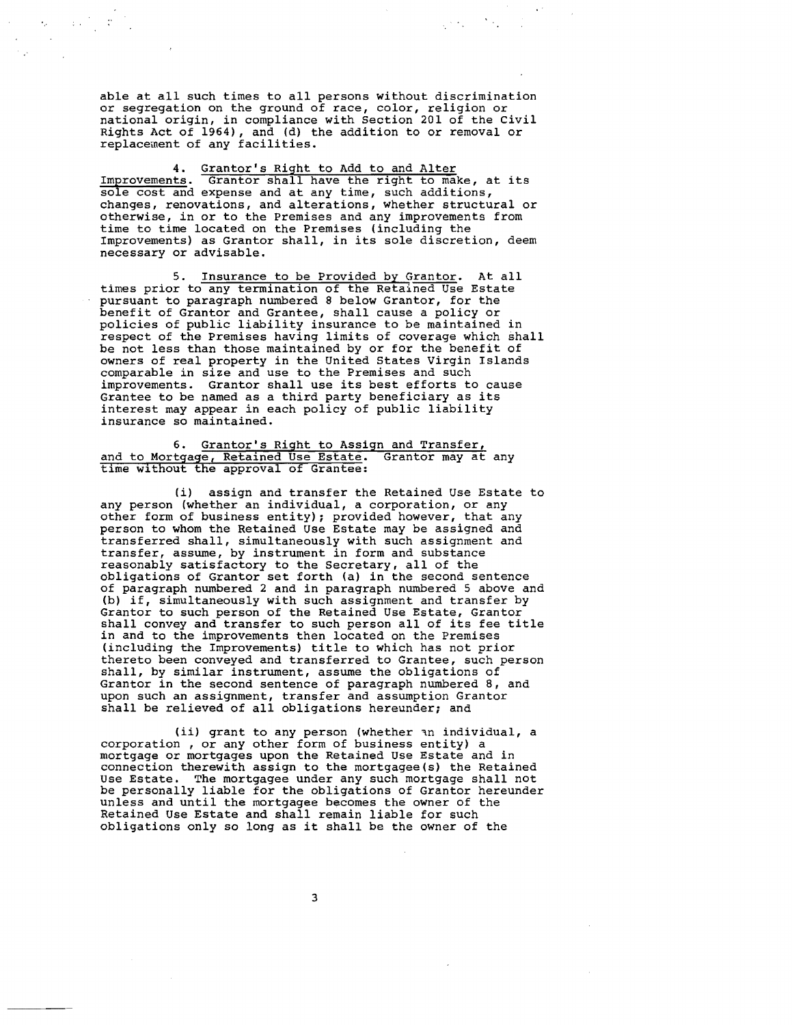able at all such times to all persons without discrimination or segregation on the ground of race, color, religion or national origin, in compliance with Section 201 of the civil Rights Act of 1964), and (d) the addition to or removal or replacement of any facilities.

 $\label{eq:2} \frac{1}{2} \left( \left( \mathbf{1} + \frac{1}{2} \right) \right) \left( \mathbf{1} + \frac{1}{2} \right) \left( \mathbf{1} + \frac{1}{2} \right)$ 

 $\mathcal{A}(\mathcal{A})=\mathcal{A}(\mathcal{A})$ 

4. Grantor's Right to Add to and Alter Improvements. Grantor shall have the right to make, at its sole cost and expense and at any time, such additions, changes, renovations, and alterations, whether structural or otherwise, in or to the Premises and any improvements from time to time located on the Premises (including the Improvements) as Grantor shall, in its sole discretion, deem necessary or advisable.

5. Insurance to be Provided by Grantor. At all times prior to any termination of the Retained Use Estate pursuant to paragraph numbered 8 below Grantor, for the benefit of Grantor and Grantee, shall cause a policy or policies of public liability insurance to be maintained in respect of the Premises having limits of coverage which shall be not less than those maintained by or for the benefit of owners of real property in the United States Virgin Islands comparable in size and use to the Premises and such improvements. Grantor shall use its best efforts to cause Improvements. Granted sharp die its best efforts to cate interest may appear in each policy of public liability insurance so maintained.

6. Grantor's Right to Assign and Transfer, and to Mortgage, Retained Use Estate. Grantor may at any time without the approval of Grantee:

(i) assign and transfer the Retained Use Estate to any person (whether an individual, a corporation, or any other form of business entity); provided however, that any person to whom the Retained Use Estate may be assigned and transferred shall, simultaneously with such assignment and transfer, assume, by instrument in form and substance reasonably satisfactory to the Secretary, all of the obligations of Grantor set forth (a) in the second sentence of paragraph numbered 2 and in paragraph numbered 5 above and (b) if, simultaneously with such assignment and transfer by Grantor to such person of the Retained Use Estate, Grantor shall convey and transfer to such person all of its fee title in and to the improvements then located on the Premises (including the Improvements) title to which has not prior thereto been conveyed and transferred to Grantee, such person shall, by similar instrument, assume the obligations of Grantor in the second sentence of paragraph numbered 8, and upon such an assignment, transfer and assumption Grantor shall be relieved of all obligations hereunder; and

(ii) grant to any person (whether in individual, a corporation , or any other form of business entity) a mortgage or mortgages upon the Retained use Estate and in connection therewith assign to the mortgagee(s) the Retained Use Estate. The mortgagee under any such mortgage shall not be personally liable for the obligations of Grantor hereunder unless and until the mortgagee becomes the owner of the Retained Use Estate and shall remain liable for such obligations only so long as it shall be the owner of the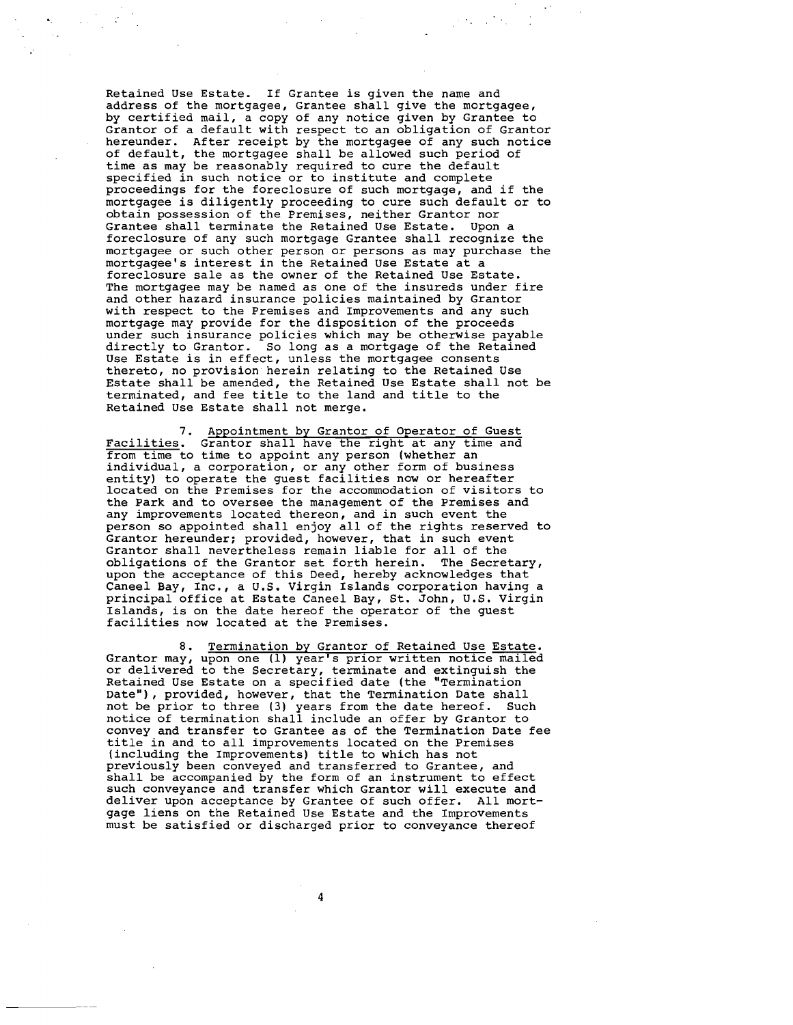Retained Use Estate. If Grantee is given the name and address of the mortgagee, Grantee shall give the mortgagee, by certified mail, a copy of any notice given by Grantee to Grantor of a default with respect to an obligation of Grantor hereunder. After receipt by the mortgagee of any such notice of default, the mortgagee shall be allowed such period of time as may be reasonably required to cure the default specified *in* such notice or to institute and complete proceedings for the foreclosure of such mortgage, and if the mortgagee is diligently proceeding to cure such default or to obtain possession of the Premises, neither Grantor nor Grantee shall terminate the Retained Use Estate. Upon a foreclosure of any such mortgage Grantee shall recognize the mortgagee or such other person or persons as may purchase the mortgagee's interest *in* the Retained Use Estate at a foreclosure sale as the owner of the Retained Use Estate. The mortgagee may be named as one of the insureds under fire and other hazard insurance policies maintained by Grantor with respect to the Premises and Improvements and any such mortgage may provide for the disposition of the proceeds under such insurance policies which may be otherwise payable directly to Grantor. So long as a mortgage of the Retained Use Estate is *in* effect, unless the mortgagee consents thereto, no provision herein relating to the Retained Use Estate shall be amended, the Retained Use Estate shall not be terminated, and fee title to the land and title to the Retained Use Estate shall not merge.

 $\mathcal{L}^{\text{max}}_{\text{max}}$ 

•,

7. Appointment by Grantor of Operator of Guest *Facilities.* Grantor shall have the right at any time and from time to time to appoint any person (whether an individual, a corporation, or any other form of business entity) to operate the guest facilities now or hereafter located on the Premises for the accommodation of visitors to the Park and to oversee the management of the Premises and any improvements located thereon, and *in* such event the person so appointed shall enjoy all of the rights reserved to Grantor hereunder; provided, however, that *in* such event Grantor shall nevertheless remain liable for all of the obligations of the Grantor set forth herein. The Secretary, upon the acceptance of this Deed, hereby acknowledges that Caneel Bay, Inc., a u.s. Virgin Islands corporation having a principal office at Estate Caneel Bay, St. John, u.s. Virgin Islands, is on the date hereof the operator of the guest facilities now located at the Premises.

8. Termination by Grantor of Retained Use Estate. Grantor may, upon one (1) year's prior written notice mailed or delivered to the Secretary, terminate and extinguish the Retained Use Estate on a specified date (the "Termination Date"), provided, however, that the Termination Date shall not be prior to three (3) years from the date hereof. Such notice of termination shall include an offer by Grantor to convey and transfer to Grantee as of the Termination Date fee title *in* and to all improvements located on the Premises (including the Improvements) title to which has not previously been conveyed and transferred to Grantee, and shall be accompanied by the form of an instrument to effect such conveyance and transfer which Grantor will execute and deliver upon acceptance by Grantee of such offer. All mortgage liens on the Retained Use Estate and the Improvements must be satisfied or discharged prior to conveyance thereof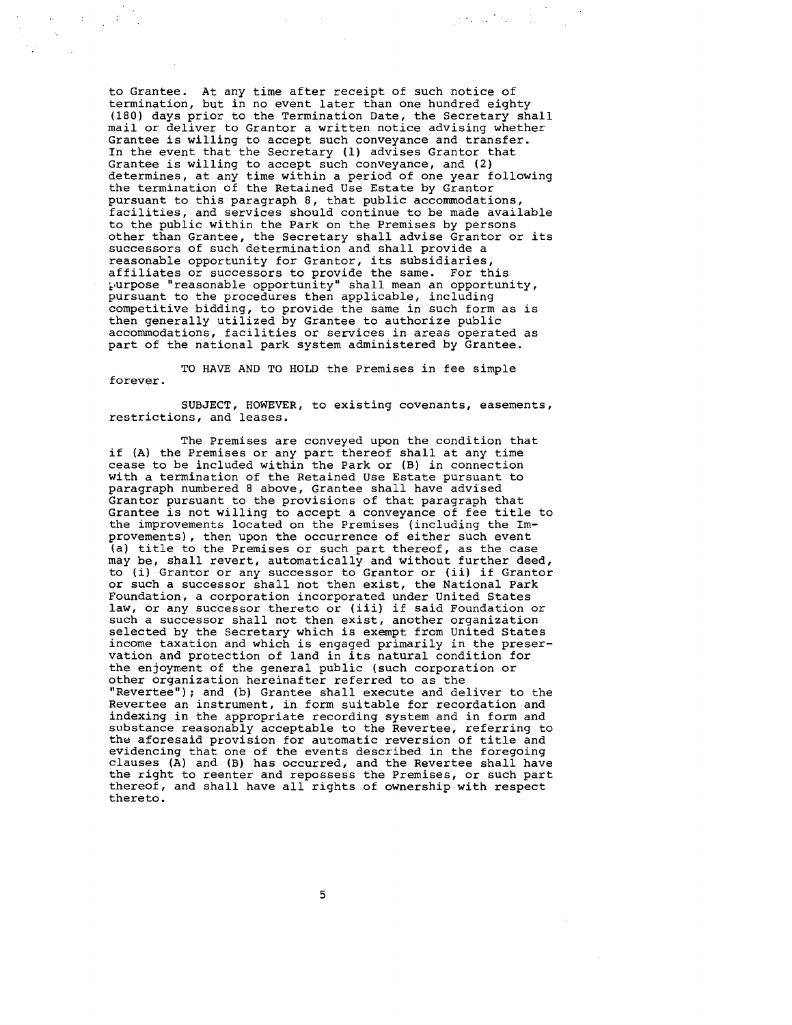to Grantee. At any time after receipt of such notice of termination, but in no event later than one hundred eighty (180) days prior to the Termination Date, the Secretary shall mail or deliver to Grantor a written notice advising whether Grantee *is* willing to accept such conveyance and transfer. In the event that the Secretary (1) advises Grantor that Grantee is willing to accept such conveyance, and  $(2)$ determines, at any time within a period of one year following the termination of the Retained Use Estate by Grantor pursuant to this paragraph 8, that public accommodations, facilities, and services should continue to be made available to the public within the Park on the Premises by persons other than Grantee, the Secretary shall advise Grantor or its successors of such determination and shall provide a reasonable opportunity for Grantor, its subsidiaries, affiliates or successors to provide the same. For this turpose "reasonable opportunity" shall mean an opportunity, pursuant to the procedures then applicable, including competitive bidding, to provide the same in such form as is then generally utilized by Grantee to authorize public accommodations, facilities or services in areas operated as part of the national park system administered by Grantee.

 $\mathcal{L}$ 

 $\hat{\theta}_i$ 

 $\mathcal{A}_2$ 

 $\mathcal{L}(\mathcal{L})$  , and  $\mathcal{L}(\mathcal{L})$  , and

TO HAVE AND TO HOLD the Premises in fee simple forever.

SUBJECT, HOWEVER, to existing covenants, easements, restrictions, and leases.

The Premises are conveyed upon the condition that if (A) the Premises or any part thereof shall at any time cease to be included within the Park or {B) in connection with a termination of the Retained Use Estate pursuant to paragraph numbered 8 above, Grantee shall have advised Grantor pursuant to the provisions of that paragraph that Grantee is not willing to accept a conveyance of fee title to the improvements located on the Premises (including the Improvements), then upon the occurrence of either such event (a) title to the Premises or such part thereof, as the case may be, shall revert, automatically and without further deed, to (i) Grantor or any successor to Grantor or (ii) if Grantor or such a successor shall not then exist, the National Park Foundation, a corporation incorporated under United States law, or any successor thereto or *(iii)* if said Foundation or such a successor shall not then exist, another organization selected by the Secretary which *is* exempt from United States income taxation and which *is* engaged primarily in the preservation and protection of land in its natural condition for the enjoyment of the general public (such corporation or other organization hereinafter referred to as the "Revertee"); and {b) Grantee shall execute and deliver to the Revertee an instrument, in form suitable for recordation and indexing in the appropriate recording system and in form and substance reasonably acceptable to the Revertee, referring to the aforesaid provision for automatic reversion of title and evidencing that one of the events described in the foregoing clauses (A) and {B) has occurred, and the Revertee shall have the right to reenter and repossess the Premises, or such part thereof, and shall have all rights of ownership with respect thereto.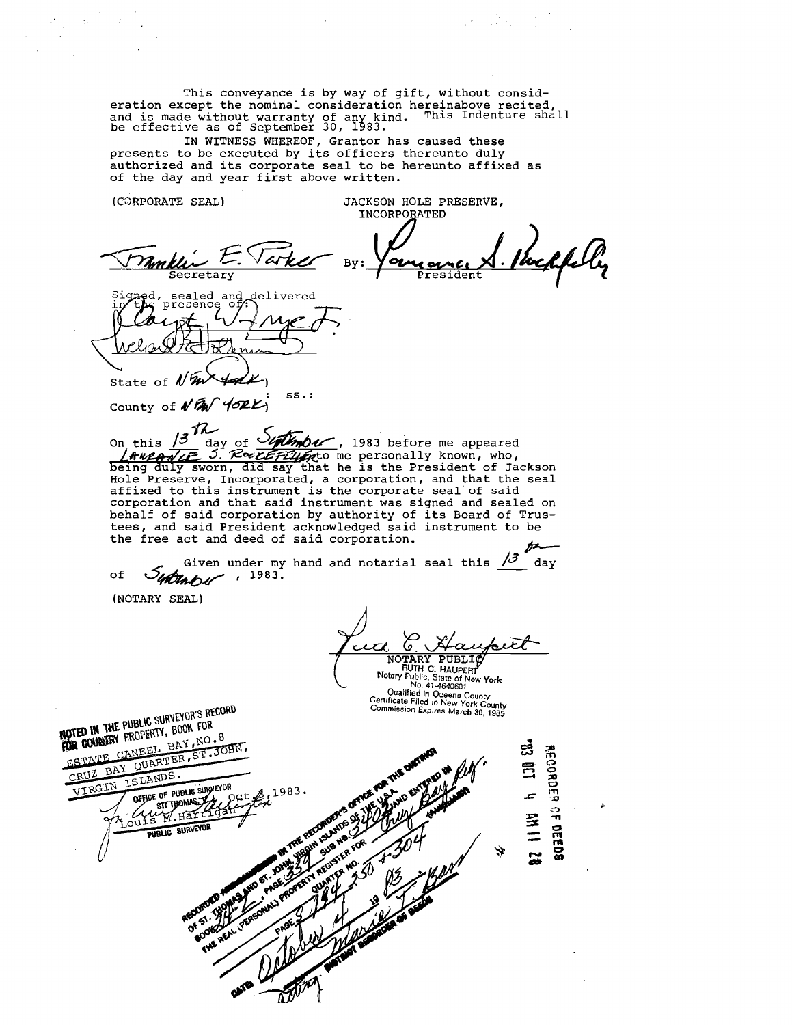This conveyance is by way of gift, without consideration except the nominal consideration hereinabove recited, and is made without warranty of any kind. This Indenture shall be effective as of September 30, 1983.

IN WITNESS WHEREOF, Grantor has caused these presents to be executed by its officers thereunto duly authorized and its corporate seal to be hereunto affixed as of the day and year first above written.

(CORPORATE SEAL) JACKSON HOLE PRESERVE,<br>INCORPORATED<br>Signed, sealed and delivered (CORPORATE SEAL) JACKSON HOLE PRESERVE,<br>INCORPORATED State of  $\sqrt{\frac{w \cdot 4}{w}}$ ,<br>County of  $\sqrt{\frac{w}{w}}$   $\sqrt{\frac{1}{2w}}$ , ss.: on this **13** day of *folly bu*, 1983 before me appeared LAVE J. Route Fluggto me personally known, who, being duly sworn, did say that he is the President of Jackson Hole Preserve, Incorporated, a corporation, and that the seal affixed to this instrument *is* the corporate seal of said corporation and that said instrument was signed and sealed on behalf of said corporation by authority of its Board of Trustees, and said President acknowledged said instrument to be tees, and said President acknowledged said instrument to be<br>the free act and deed of said corporation.<br><sup>2</sup>/ day Given under my hand and notarial seal this  $\overline{\mathscr{B}}$  day  $\sim$ , 1983. of (NOTARY SEAL) NOTARY PUBLITY<br>
HUTH C. HAUPERT<br>
Notary Public, State of New York<br>
Qualified in Queens County<br>
Certificate Filed in New York County<br>
Commission Expires March 30, 1985<br>
Certificate Filed in New York County<br>
Commission Expir **ROTED IN THE PUBLIC SURVEYOR'S RECORD**<br>**ROTED IN THE PUBLIC SURVEYOR'S RECORD NOTED IN THE PUBLIC SURVEYORS ONE COUNTER Y NOTED IN THE PROPERTY, BOOK FOR SOMETIVE CANEEL BAY, NO. 8**<br>ESTATE CANEEL BAY, NO. 8<br>ESTATE CANEEL BAY, OUARTER, ST.JO BETATE CANEEL BAY, NO. 80HN, <u>جي</u> **RECORDER**  $\boldsymbol{\Xi}$ ង<br>-<br>- $\boldsymbol{\Xi}$ VIRGIN ISLANDS OFFICE OF PUBLIC SURVEYOR OFFICE OF PUBLIC SURVEYOR ,1983. G  $\tilde{t}$  $\tilde{\mathbf{r}}$  $\Xi$ **PUBLIC SURVEYOR** 14 | 14 | 28 **0 A**  "" *0*  ., .....  $\mathbf{v}$ FOR THE REAL ORDER AND DATE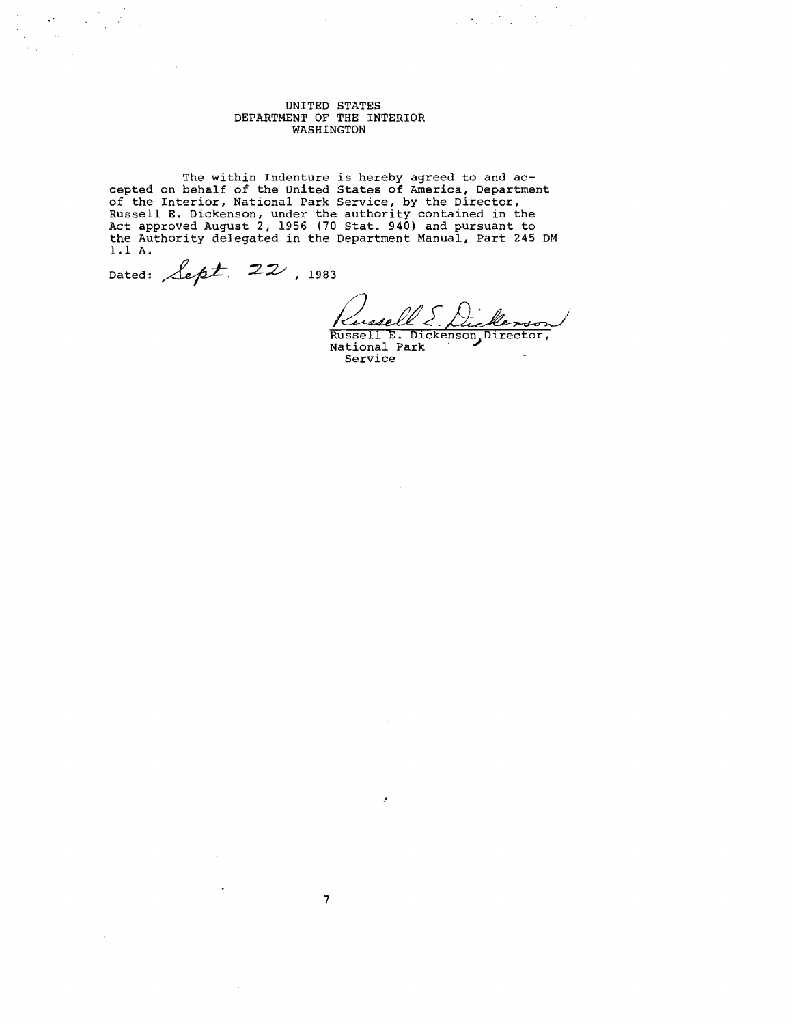UNITED STATES DEPARTMENT OF THE INTERIOR WASHINGTON

ц.

The within Indenture *is* hereby agreed to and accepted on behalf of the United States of America, Department of the Interior, National Park Service, by the Director, Russell E. Dickenson, under the authority contained *in* the Act approved August 2, 1956 (70 Stat. 940) and pursuant to the Authority delegated *in* the Department Manual, Part 245 DM 1.1 A.

7

 $\mathcal{L}$ 

 $\bar{z}$ 

Dated:  ${\mathcal{L}}$  ${\mathcal{L}}$   $22$ , 1983

Russell E. Dickenson

National Park Service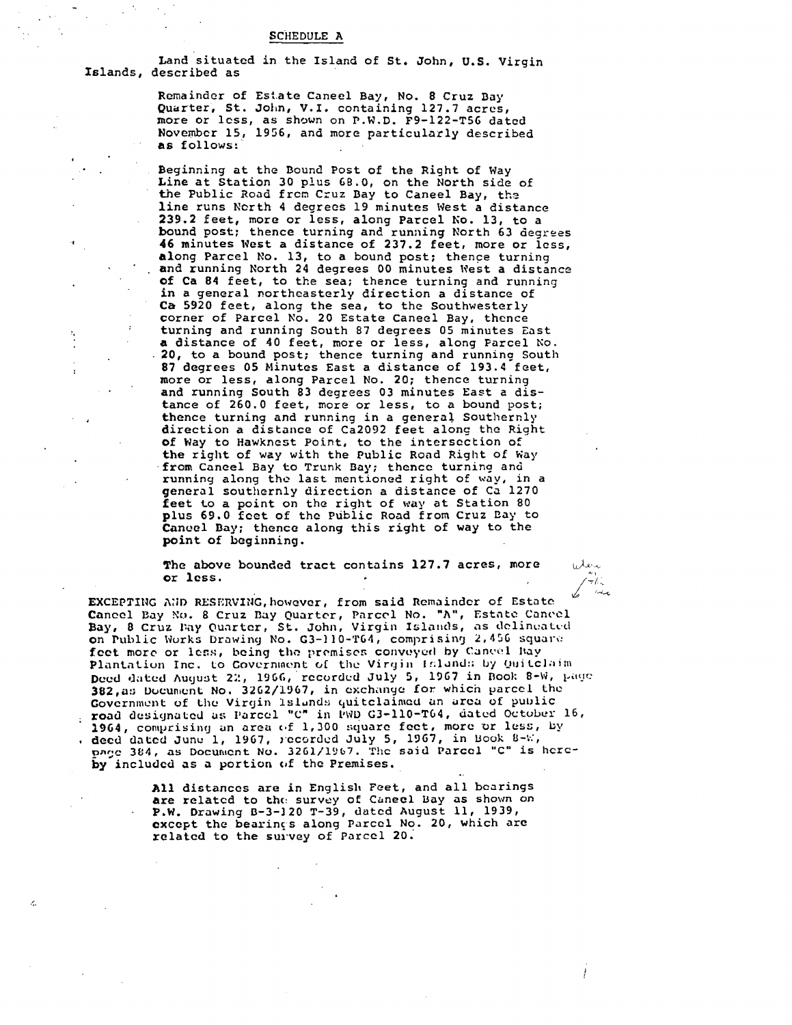## SCHEDULE A.

..

Land situated in the Island of St. John, U.S. Virgin Islands, described as

Remainder of Estate Caneel Bay, No. 8 Cruz Bay Quarter, St. John, V.I. containing 127.7 acres, more or less, as shown on P.W.D. F9-122-TSG dated November 15, 1956, and more particularly described as follows:

Beginning at the Dound Post of the Right of Way Line at Station 30 plus GB.O, on the North side of the Public Road from Cruz Bay to Caneel Bay, the line runs North 4 degrees 19 minutes Nest a distance 239.2 feet, more or less, along Parcel No. 13, to a bound post; thence turning and running North 63 degrees 46 minutes West a distance of 237.2 feet, more or less, along Parcel No. 13, to a bound post; thence turning and running North 24 degrees 00 minutes West a distance of Ca 84 feet, to the sea; thence turning and running in a general northeasterly direction a distance of Ca 5920 feet, along the sea, to the Southwesterly corner of Parcel No. 20 Estate Caneel Bay, thence turning and running South 87 degrees OS minutes East a distance of 40 feet, more or less, along Parcel No.<br>20, to a bound post; thence turning and running South 87 degrees 05 Minutes East a distance of 193.4 feet, more or less, along Parcel No. 20; thence turning and running South 83 degrees 03 minutes East a distance of 260.0 feet, more or less, to a bound post; thence turning and running in a general Southernly direction a distance of Ca2092 feet along the Right of Way to Hawknest Point, to the intersection of the right of way with the Public Road Right of Way ·from Caneel Bay to Trunk Bay; thence turning and running along the last mentioned right of way, in a qeneral southernly direction a distance of Ca 1270 feet to a point on the right of way at Station 80 plus 69.0 feet of the Public Road from Cruz Bay to Cancel Bay; thence along this right of way to the point of beginning.

The above bounded tract contains 127.7 acres, more or less.

Ì

 $~\frac{m}{4}$ 

EXCEPTING AND RESERVING, however, from said Remainder of Estate Cancel Bay No. 8 Cruz Bay Quarter, Parcel No. "A", Estate Cancel Bay, 8 Cruz Bay Quarter, St. John, Virgin Islands, as delineated on Public Works Drawing No. G3-110-T64, comprising 2,456 square feet more or less, being the premises conveyed by Cancel Bay Plantation Inc. to Government of the Virgin Islands by Quitclaim Deed dated August 22, 1966, recorded July 5, 1967 in Book 8-W, page 382, as Document No. 3262/1967, in exchange for which parcel the Government of the Virgin Islands quitclaimed an area of public road designated as Parcel "C" in PWD GJ-110-T64, dated October 16, 1964, comprising an area of 1,300 square feet, more or less, by , deed dated Junu 1, 1967, recorded July 5, 1967, in Book 8-W, page 384, as Document No. 3261/1967. The said Parcel "C" is hereby included as a portion of the Premises.

> All distances are in English Feet, and all bearings are related to the survey of Caneel Bay as shown on P.W. Drawing B-3-120 T-39, dated August 11, 1939, except the bearings along Parcel No. 20, which are related to the survey of Parcel 20.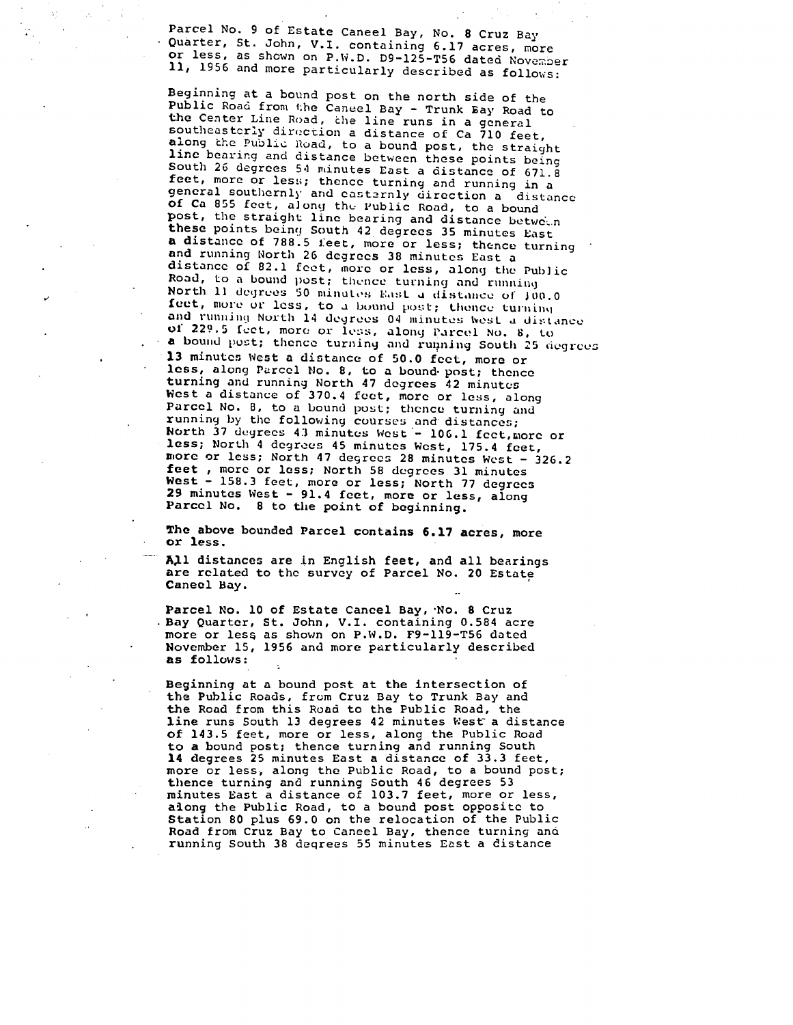Parcel No. 9 of Estate Caneel Bay, No. 8 Cruz Bay Quarter, St. John, V.I. containing 6.17 acres, more or less, as shown on P.W.D. D9-125-T56 dated November 11, 1956 and more particularly described as follows:

Beginning at a bound post on the north side of the Public Road from the Caneel Bay - Trunk Bay Road to the Center Line Road, the line runs in a general southeasterly direction a distance of Ca 710 feet, along the Public Road, to a bound post, the straight line bearing and distance between these points being South 26 degrees 54 minutes East a distance of 671.8 feet, more or less; thence turning and running in a general southernly and casternly direction a distance of Ca 855 feet, along the Public Road, to a bound post, the straight line bearing and distance between these points being South 42 degrees 35 minutes East a distance of 788.5 ieet, more or less; thence turning and running North 26 degrees 38 minutes East a distance of 82.1 feet, more or less, along the Public Road, to a bound post; thence turning and running North 11 degrees 50 minutes East a distance of J00.0 feet, more or less, to a bound post; thence turning and running North 14 degrees 04 minutes west a distance of 229.5 fect, more or less, along Parcel No. 8, to a bound post; thence turning and running South 25 degrees 13 minutes West a distance of 50.0 feet, more or less, along Parcel No. 8, to a bound post; thence turning and running North 47 degrees 42 minutes West a distance of 370.4 feet, more or less, along Parcel No. 8, to a bound post; thence turning and running by the following courses and distances; North 37 degrees 40 minutes West'- 106.1 feet, more or less; North 4 degrees 45 minutes West, 175.4 feet, more or less; North 47 degrees 28 minutes West - 326.2 feet , more or less; North 58 degrees 31 minutes West - 158.3 feet, more or less; North 77 degrees 29 minutes West - 91.4 feet, more or less, along Parcel No. 8 to the point of beginning.

The above bounded Parcel contains 6.17 acres, more or less.

All distances are in English feet, and all bearings are related to the survey of Parcel No. 20 Estate Canecl Bay.

Parcel No. 10 of Estate Cancel Bay, ·No. 8 Cruz Bay Quarter, St. John, V.I. containing 0.584 acre more or less as shown on P.W.D. F9-119-T56 dated November 15, 1956 and more particularly described as follows:

Beginning at a bound post at the intersection of the Public Roads, from Cruz Bay to Trunk Bay and the Road from this Road to the Public Road, the line runs South 13 degrees 42 minutes West a distance of 143.5 feet, more or less, along the Public Road to a bound post; thence turning and running South 14 degrees 25 minutes East a distance of 33.3 feet, more or less, along the Public Road, to a bound post; thence turning and running South 46 degrees 53 minutes East a distance of 103.7 feet, more or less, aiong the Public Road, to a bound post opposite to Station 80 plus 69.0 on the relocation of the Public Road from Cruz Bay to Caneel Bay, thence turning and running South 38 deqrees 55 minutes East a cistance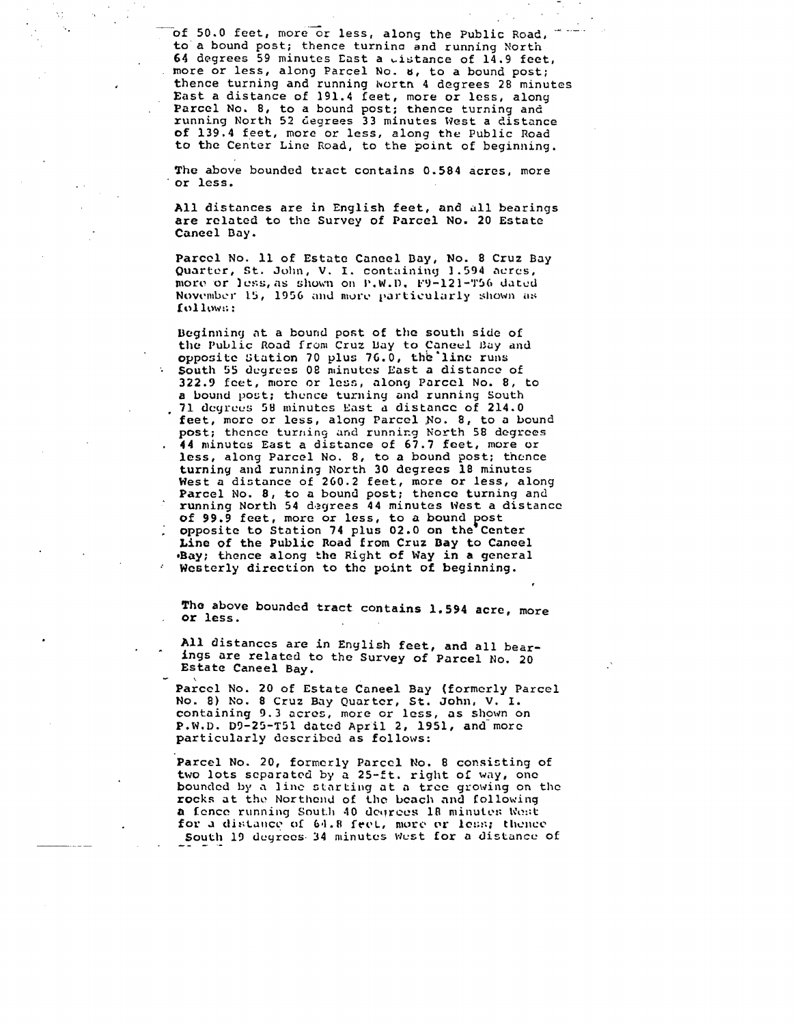of 50.0 feet, more or less, along the Public Road, to a bound post; thence turning and running North  $64$  degrees 59 minutes East a  $\mu$ istance of 14.9 feet, more or less, along Parcel No. &, to a bound post; thence turning and running wortn 4 degrees 28 minutes East a distance of 191.4 feet, more or less, along Parcel No. 8, to a bound post; thence turning and running North 52 degrees 33 minutes West a distance of 139.4 feet, more or less, along the Public Road to the Center Line Road, to the point of beginning.

The above bounded tract contains 0.584 acres, more or less.

All distances are in English feet, and all bearings are related to the Survey of Parcel No. 20 Estate Cancel Day.

Parcel No. 11 of Estate Cancel Bay, No. 8 Cruz Bay Quarter, St. John, V. I. containing 1.594 acres, more or less, as shown on P.W.D. F9-121-T56 dated November 15, 1956 and more particularly shown as follows:

Beginning at a bound post of the south side of the Public Road from Cruz Bay to Caneel Bay and opposite Station 70 plus 76.0, the line runs South 55 degrees OS minutes East a distance of 322.9 feet, more or less, along Parcel No. 8, to a bound post; thence turning and running South • 71 degrees SH minutes Hast d distance of 214.0 feet, more or less, along Parcel No. 8, to a bound post; thence turning and running North 58 degrees 44 minutes East a distance of 67.7 feet, more or less, along Parcel No. 8, to a bound post; thence turning and running North 30 degrees 18 minutes West a distance of 260.2 feet, more or less, along Parcel No. 8, to a bound post; thence turning and running North 54 degrees 44 minutes West a distance of 99.9 feet, more or less, to a bound post opposite to Station 74 plus 02.0 on the Center Line of the Public Road from Cruz Day to Cancel •Bay; thence along the Right of Way in a general Westerly direction to the point of beginning.

The above bounded tract contains 1.594 acre, more or less.

All distances are in English feet, and all bearings are related to the Survey of Parcel No. 20 Estate Caneel Bay.

Parcel No. 20 of Estate Caneel Bay (formerly Parcel No. 8) No. 8 Cruz Bay Quarter, St. John, V. I. containing 9.3 acres, more or less, as shown on P.W.D. D9-25-T51 dated April 2, 1951, and more particularly described as follows:

Parcel No. 20, formerly Parcel No. 8 consisting of two lots separated by a 25-ft. right of way, one bounded by a line starting at a tree growing on the rocks at the Northend of the beach and following a fence running South 40 degrees 18 minutes West for a distance of 64.8 feet, more or less; thence South 19 degrees 34 minutes West for a distance of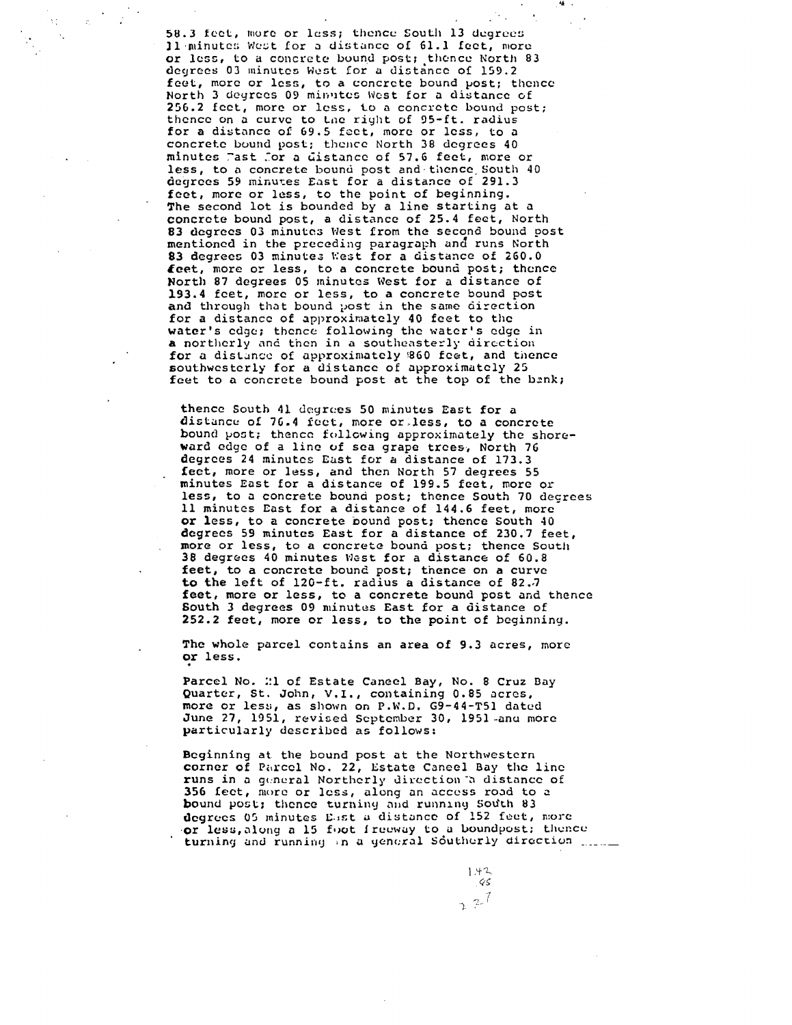58.3 feet, more or less; thence South 13 degrees ll minutes West for a distance of 61.1 feet, more or less, to a concrete bound post; thence North 83 degrees 03 minutes West for a distance of 159.2 feet, more or less, to a concrete bound post; thence North 3 degrees 09 minutes West for a distance of<br>256.2 feet, more or less, to a concrete bound post; thence on a curve to the right of 95-ft. radius for a distance of 69.5 feet, more or less, to a concret.e bound post; thence North 38 degrees 40 minutes last for a distance of 57.6 feet, more or less, to a concrete bound post and thence South 40 degrees 59 minutes East for a distance of 291.3 feet, more or less, to the point of beginning. The second lot is bounded by a line starting at a concrete bound post, a distance of 25.4 feet, North 83 degrees 03 minutes West from the second bound post mentioned in the preceding paragraph and runs North 83 degrees 03 minutes West for a distance of 260.0 feet, more or less, to a concrete bound post; thence North 87 degrees 05 minutes West for a distance of 193.4 feet, more or less, to a concrete bound post and through that bound post in the same direction for a distance of approximately 40 feet to the water's edge; thence following the water's edge in a northerly and then in a southeasterly direction for a distance of approximately \$60 feet, and thence southwesterly for a distance of approximately 25 feet to a concrete bound post at the top of the bank;

 $\Sigma^{\pm}_i$ 

...

thence South 41 degrees 50 minutes East for a distance of 76.4 feet, more orlless, to a concrete bound post; thence following approximately the shoreward edge of a line of sea grape trees, North 76 degrees 24 minutes East for a distance of 173.3 feet, more or less, and then North 57 degrees 55 minutes East for a distance of 199.5 feet, more or less, to a concrete bound post; thence South 70 degrees 11 minutes East for a distance of 144.6 feet, more or less, to a concrete bound post; thence South 40 degrees 59 minutes East for a distance of 230.7 feet, more or less, to a concrete bound post; thence South 38 degrees 40 minutes Wast for a distance of 60.8 feet, to a concrete bound post; thence on a curve to the left of  $120-ft$ . radius a distance of 82.7 feet, more or less, to a concrete bound post and thence South 3 degrees 09 minutes East for a distance of 252.2 feet, more or less, to the point of beginning.

The whole parcel contains an area of 9.3 acres, more or less.

Parcel No. 21 of Estate Caneel Bay, No. 8 Cruz Bay Quarter, St. John, V.I., containing 0.85 acres, more or less, as shown on P.W.D. G9-44-T51 dated June 27, 1951, revised September 30, 1951 -anu more particularly described as follows:

Beginning at the bound post at the Northwestern corner of Parcel No. 22, Estate Cancel Bay the line runs in a general Northerly direction a distance of 356 fect, more or less, along an access road to a bound post; thence turning and running South 83 degrees 05 minutes E.st a distance of 152 feet, more or less, along a 15 foot freeway to a boundpost: thence turning and running on a general Southerly direction .....

> $1.42$  $\sqrt{45}$  $2.7$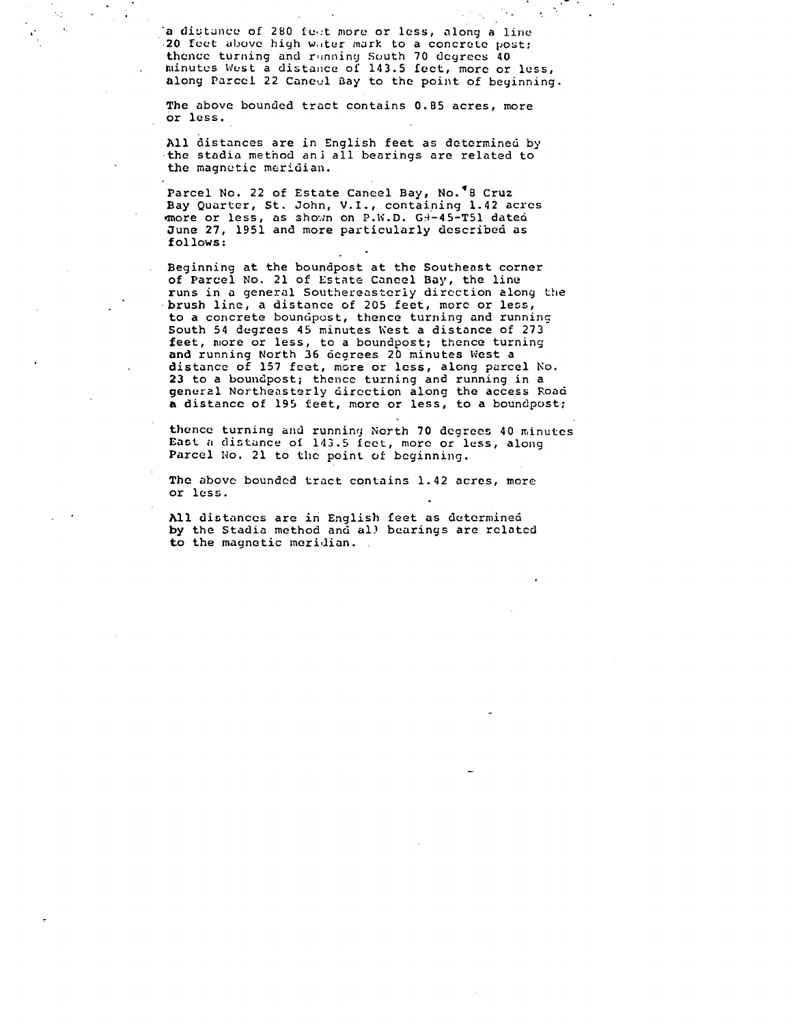'a distance of 280 fest more or less, along a line .20 feet above high water mark to a concrete post; thence turning and ranning South 70 degrees 40 minutes West a distance of 143.5 feet, more or less, along Parcel 22 Caneul Bay to the point of beginning.

The above bounded tract contains O.BS acres, more or less.

All distances are in English feet as determined by the stadia method anj all bearings are related to the magnetic meridian.

Parcel No. 22 of Estate Cancel Bay, No.<sup>7</sup>B Cruz Bay Quarter, St. John, V.I., containing 1.42 acres more or less, as shown on P.W.D. G+-45-T51 dated June 27, 1951 and more particularly described as follows:

Beginning at the boundpost at the Southeast corner of Parcel No. 21 of Estate Cancel Bay, the line runs in a general Southereasterly direction along the ·brush line, a distance of 205 feet, more or less, to a concrete boundpost, thence turning and running South 54 degrees 45 minutes West a distance of 273 feet, more or less, to a boundpost; thence turning and running North 36 degrees 20 minutes West a distance of 157 feet, more or less, along purcel Ko. 23 to a boundpost; thence turning and running in a general Northeasterly direction along the access Road a distance of 195 feet, more or less, to a boundpost;

thence turning and running North 70 degrees 40 minutes East a distance of 143.5 feet, more or less, along Parcel No. 21 to the point of beginning.

The above bounded tract contains 1.42 acres, more or less.

All distances are in English feet as determined by the Stadia method and all bearings are related to the magnetic meridian.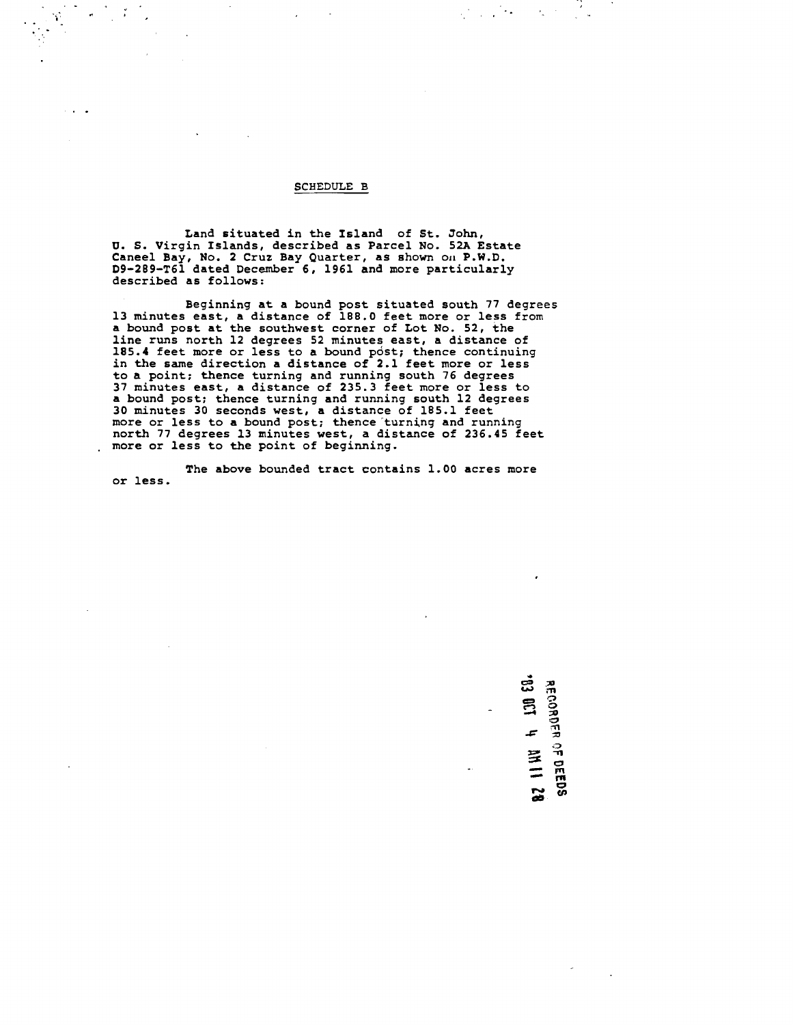## SCHEDULE B

 $\mathcal{C}$ 

 $\label{eq:2} \frac{1}{2}\sum_{i=1}^n\frac{1}{2}\sum_{j=1}^n\frac{1}{2}\sum_{j=1}^n\frac{1}{2}\sum_{j=1}^n\frac{1}{2}\sum_{j=1}^n\frac{1}{2}\sum_{j=1}^n\frac{1}{2}\sum_{j=1}^n\frac{1}{2}\sum_{j=1}^n\frac{1}{2}\sum_{j=1}^n\frac{1}{2}\sum_{j=1}^n\frac{1}{2}\sum_{j=1}^n\frac{1}{2}\sum_{j=1}^n\frac{1}{2}\sum_{j=1}^n\frac{1}{2}\sum_{j=1}^n\frac{$ 

72

 $\mathcal{A}_\mu$  $\sim$ 

Land situated in the Island of St. John, U. S. Virgin Islands, described as Parcel No. 52A Estate Caneel Bay, No. 2 Cruz Bay Quarter, as shown on P.W.D. D9-289-T61 dated December 6, 1961 and more particularly described as follows:

Beginning at a bound post situated south 77 degrees 13 minutes east, a distance of 188.0 feet more or less from a bound post at the southwest corner of Lot No. 52, the line runs north 12 degrees 52 minutes east, a distance of 185.4 feet more or less to a bound post; thence continuing in the same direction a distance of 2.1 feet more or less to a point; thence turning and running south 76 degrees 37 minutes east, a distance of 235.3 feet more or less to a bound post: thence turning and running south 12 degrees 30 minutes 30 seconds west, a distance of 185.1 feet<br>more or less to a bound post; thence turning and running north 77 degrees 13 minutes west, a distance of 236.45 feet more or less to the point of beginning.

The above bounded tract contains 1.00 acres more or less.

> $\mathring{\mathbf{c}}$  $\Xi$ ~  $\Xi$ .<br>~ <del>ين</del> .. **Afropedies** OF DEEDS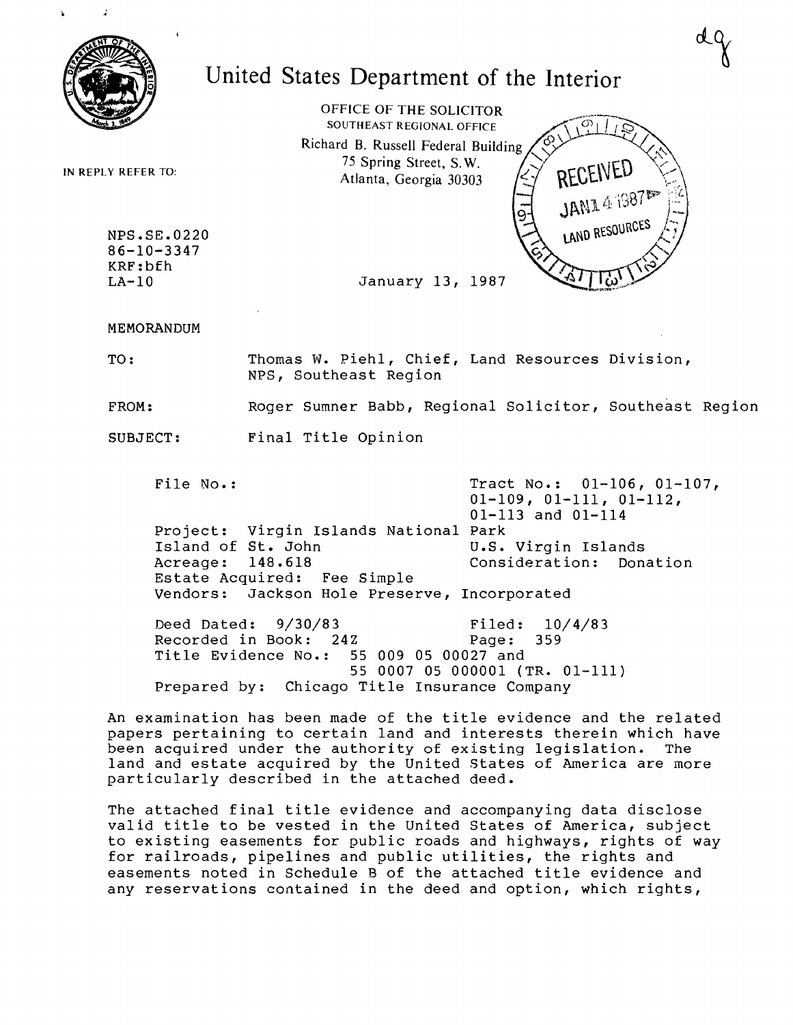

valid title to be vested in the United States of America, subject to existing easements for public roads and highways, rights of way for railroads, pipelines and public utilities, the rights and easements noted in Schedule B of the attached title evidence and any reservations contained in the deed and option, which rights,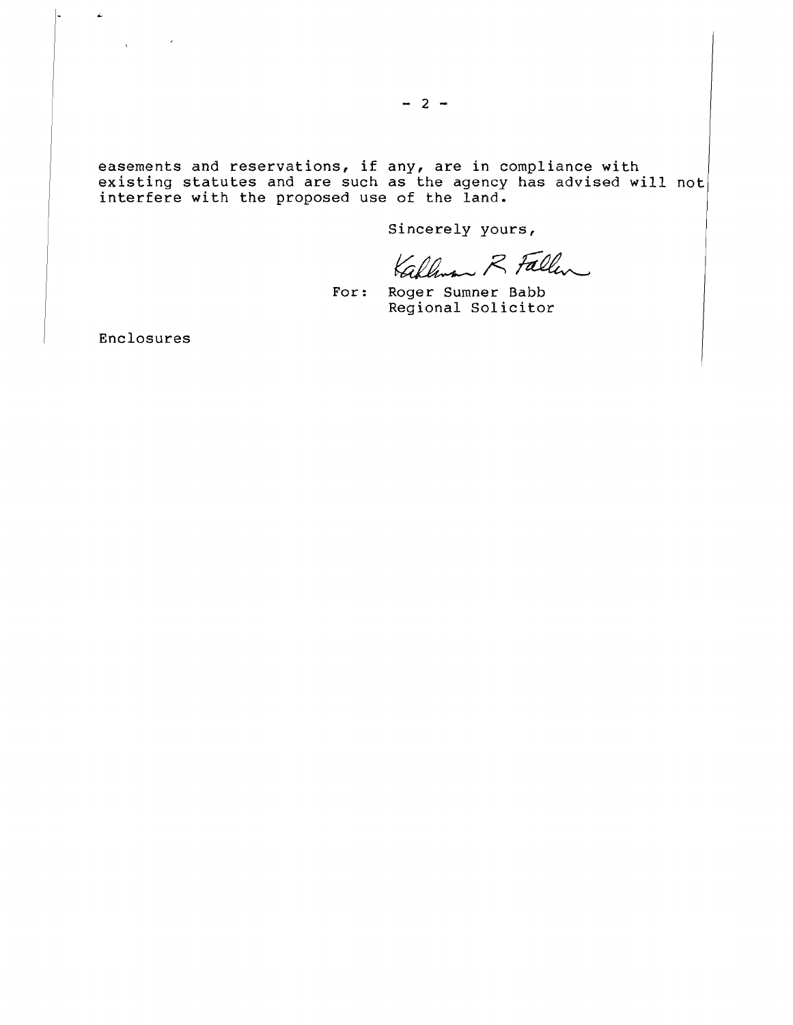easements and reservations, if any, are in compliance with existing statutes and are such as the agency has advised will not interfere with the proposed use of the land.

Sincerely yours,

Kallenan R Fallen

For: Roger Sumner Babb Regional Solicitor

Enclosures

 $\Delta^+$ 

 $\mathcal{L}_{\text{max}}$  and  $\mathcal{L}_{\text{max}}$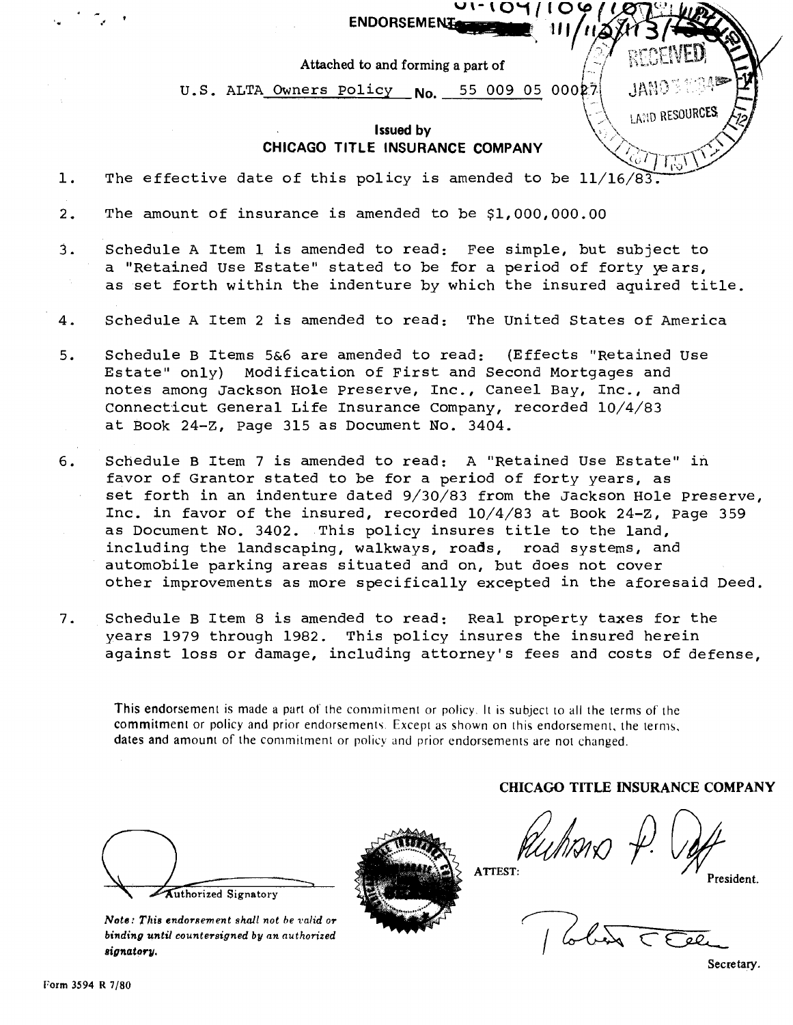| <b>ENDORSEMENTS</b>                                                                   |
|---------------------------------------------------------------------------------------|
| Attached to and forming a part of<br>$m_{\rm{max}}$                                   |
| U.S. ALTA Owners Policy<br>55 009<br>05 00027<br>$N$ o. $\overline{a}$<br><b>1000</b> |
| LAND RESOURCES<br><b>Issued by</b><br>CHICAGO TITLE INSURANCE COMPANY                 |
| The effective date of this policy is amended to be $11/16/83$ .                       |

- 2. The amount of insurance is amended to be \$1,000,000.00
- 3. Schedule A Item 1 is amended to read: Fee simple, but subject to a "Retained Use Estate" stated to be for a period of forty years, as set forth within the indenture by which the insured aquired title.
- 4. Schedule A Item 2 is amended to read: The United States of America
- 5. Schedule B Items 5&6 are amended to read: (Effects "Retained Use Estate" only) Modification of First and Second Mortgages and notes among Jackson Hole Preserve, Inc., Caneel Bay, Inc., and Connecticut General Life Insurance Company, recorded 10/4/83 at Book 24-Z, Page 315 as Document No. 3404.
- 6. Schedule B Item 7 is amended to read: A "Retained Use Estate" in favor of Grantor stated to be for a period of forty years, as set forth in an indenture dated 9/30/83 from the Jackson Hole Preserve, Inc. in favor of the insured, recorded 10/4/83 at Book 24-Z, Page 359 as Document No. 3402. This policy insures title to the land, including the landscaping, walkways, roads, road systems, and automobile parking areas situated and on, but does not cover other improvements as more specifically excepted in the aforesaid Deed.
- 7. Schedule B Item 8 is amended to read: Real property taxes for the years 1979 through 1982. This policy insures the insured herein against loss or damage, including attorney's fees and costs of defense,

This endorsement is made a part of the commitment or policy. It is subject to all the terms of the commitment or policy and prior endorsements. Except as shown on this endorsement, the terms. dates and amount of the commitment or policy and prior endorsements are not changed.

# Authorized Signatory

*Note: This endorsement shall not be valid or binding until countersigned by an authorized*   $signatory.$ 



ATTEST:

CHICAGO TITLE INSURANCE COMPANY

President.

Secretary.

Form 3594 R 7/80